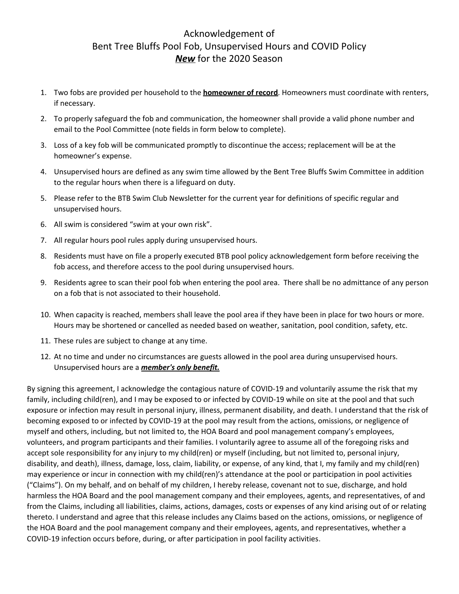## Acknowledgement of Bent Tree Bluffs Pool Fob, Unsupervised Hours and COVID Policy *New* for the 2020 Season

- 1. Two fobs are provided per household to the **homeowner of record**. Homeowners must coordinate with renters, if necessary.
- 2. To properly safeguard the fob and communication, the homeowner shall provide a valid phone number and email to the Pool Committee (note fields in form below to complete).
- 3. Loss of a key fob will be communicated promptly to discontinue the access; replacement will be at the homeowner's expense.
- 4. Unsupervised hours are defined as any swim time allowed by the Bent Tree Bluffs Swim Committee in addition to the regular hours when there is a lifeguard on duty.
- 5. Please refer to the BTB Swim Club Newsletter for the current year for definitions of specific regular and unsupervised hours.
- 6. All swim is considered "swim at your own risk".
- 7. All regular hours pool rules apply during unsupervised hours.
- 8. Residents must have on file a properly executed BTB pool policy acknowledgement form before receiving the fob access, and therefore access to the pool during unsupervised hours.
- 9. Residents agree to scan their pool fob when entering the pool area. There shall be no admittance of any person on a fob that is not associated to their household.
- 10. When capacity is reached, members shall leave the pool area if they have been in place for two hours or more. Hours may be shortened or cancelled as needed based on weather, sanitation, pool condition, safety, etc.
- 11. These rules are subject to change at any time.
- 12. At no time and under no circumstances are guests allowed in the pool area during unsupervised hours. Unsupervised hours are a *member's only benefit.*

By signing this agreement, I acknowledge the contagious nature of COVID-19 and voluntarily assume the risk that my family, including child(ren), and I may be exposed to or infected by COVID-19 while on site at the pool and that such exposure or infection may result in personal injury, illness, permanent disability, and death. I understand that the risk of becoming exposed to or infected by COVID-19 at the pool may result from the actions, omissions, or negligence of myself and others, including, but not limited to, the HOA Board and pool management company's employees, volunteers, and program participants and their families. I voluntarily agree to assume all of the foregoing risks and accept sole responsibility for any injury to my child(ren) or myself (including, but not limited to, personal injury, disability, and death), illness, damage, loss, claim, liability, or expense, of any kind, that I, my family and my child(ren) may experience or incur in connection with my child(ren)'s attendance at the pool or participation in pool activities ("Claims"). On my behalf, and on behalf of my children, I hereby release, covenant not to sue, discharge, and hold harmless the HOA Board and the pool management company and their employees, agents, and representatives, of and from the Claims, including all liabilities, claims, actions, damages, costs or expenses of any kind arising out of or relating thereto. I understand and agree that this release includes any Claims based on the actions, omissions, or negligence of the HOA Board and the pool management company and their employees, agents, and representatives, whether a COVID-19 infection occurs before, during, or after participation in pool facility activities.